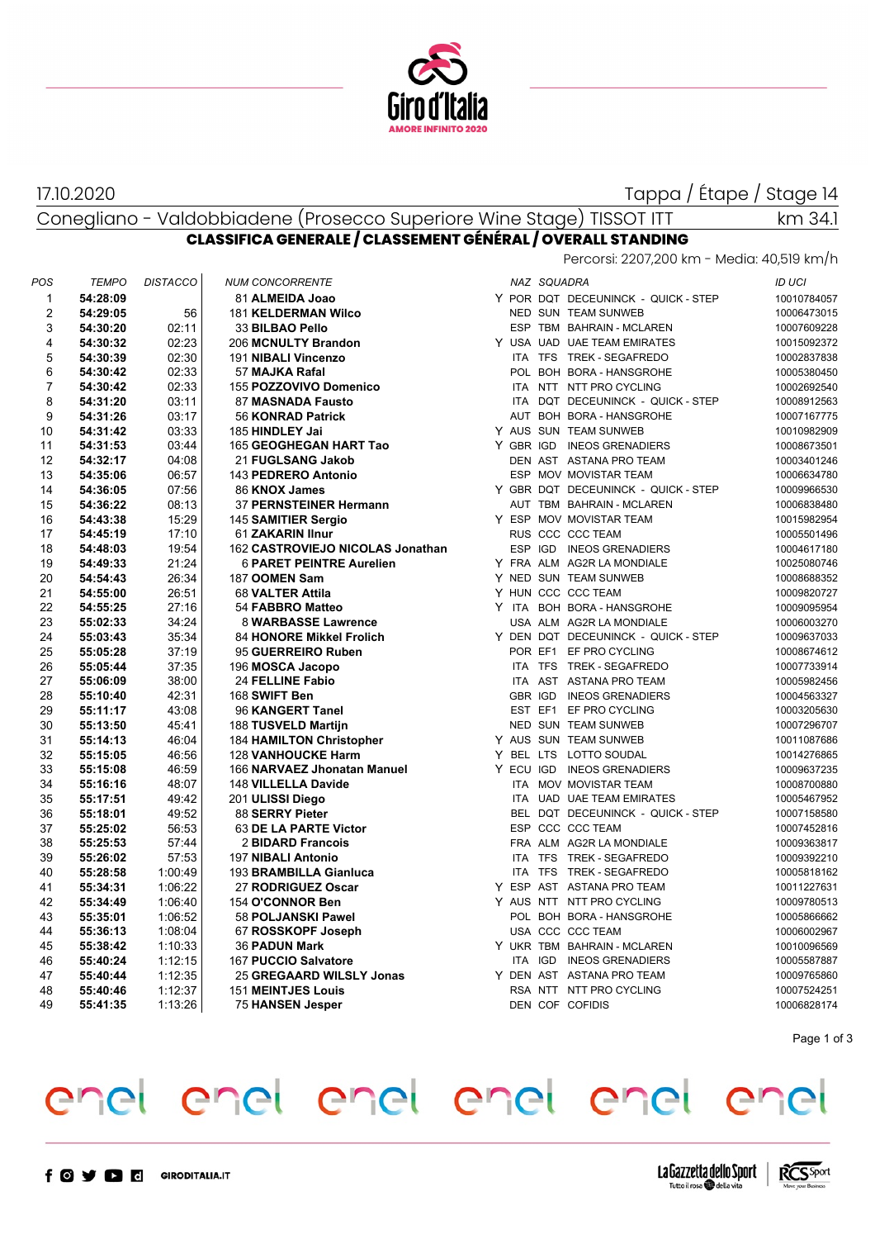

17.10.2020

Tappa / Étape / Stage 14

Conegliano - Valdobbiadene (Prosecco Superiore Wine Stage) TISSOT ITT

km 34.1

| CLASSIFICA GENERALE / CLASSEMENT GENERAL / OVERALL STANDING |                                            |  |
|-------------------------------------------------------------|--------------------------------------------|--|
|                                                             | Percorsi: 2207,200 km - Media: 40,519 km/h |  |

| POS            | <b>TEMPO</b>         | <b>DISTACCO</b> | <b>NUM CONCORRENTE</b>                                       |  | NAZ SQUADRA |                                                    | <b>ID UCI</b>              |
|----------------|----------------------|-----------------|--------------------------------------------------------------|--|-------------|----------------------------------------------------|----------------------------|
| $\mathbf{1}$   | 54:28:09             |                 | 81 ALMEIDA Joao                                              |  |             | Y POR DQT DECEUNINCK - QUICK - STEP                | 10010784057                |
| $\overline{2}$ | 54:29:05             | 56              | <b>181 KELDERMAN Wilco</b>                                   |  |             | NED SUN TEAM SUNWEB                                | 10006473015                |
| 3              | 54:30:20             | 02:11           | 33 BILBAO Pello                                              |  |             | ESP TBM BAHRAIN - MCLAREN                          | 10007609228                |
| 4              | 54:30:32             | 02:23           | 206 MCNULTY Brandon                                          |  |             | Y USA UAD UAE TEAM EMIRATES                        | 10015092372                |
| 5              | 54:30:39             | 02:30           | 191 NIBALI Vincenzo                                          |  |             | ITA TFS TREK - SEGAFREDO                           | 10002837838                |
| 6              | 54:30:42             | 02:33           | 57 MAJKA Rafal                                               |  |             | POL BOH BORA - HANSGROHE                           | 10005380450                |
| $\overline{7}$ | 54:30:42             | 02:33           | 155 POZZOVIVO Domenico                                       |  |             | ITA NTT NTT PRO CYCLING                            | 10002692540                |
| 8              | 54:31:20             | 03:11           | 87 MASNADA Fausto                                            |  |             | ITA DOT DECEUNINCK - QUICK - STEP                  | 10008912563                |
| 9              | 54:31:26             | 03:17           | 56 KONRAD Patrick                                            |  |             | AUT BOH BORA - HANSGROHE                           | 10007167775                |
| 10             | 54:31:42             | 03:33           | 185 HINDLEY Jai                                              |  |             | Y AUS SUN TEAM SUNWEB                              | 10010982909                |
| 11             | 54:31:53             | 03:44           | 165 GEOGHEGAN HART Tao                                       |  |             | Y GBR IGD INEOS GRENADIERS                         | 10008673501                |
| 12             | 54:32:17             | 04:08           | 21 FUGLSANG Jakob                                            |  |             | DEN AST ASTANA PRO TEAM                            | 10003401246                |
| 13             | 54:35:06             | 06:57           | 143 PEDRERO Antonio                                          |  |             | ESP MOV MOVISTAR TEAM                              | 10006634780                |
| 14             | 54:36:05             | 07:56           | 86 KNOX James                                                |  |             | Y GBR DQT DECEUNINCK - QUICK - STEP                | 10009966530                |
| 15             | 54:36:22             | 08:13           | 37 PERNSTEINER Hermann                                       |  |             | AUT TBM BAHRAIN - MCLAREN                          | 10006838480                |
| 16             | 54:43:38             | 15:29           | 145 SAMITIER Sergio                                          |  |             | Y ESP MOV MOVISTAR TEAM                            | 10015982954                |
| 17             | 54:45:19             | 17:10           | 61 ZAKARIN Ilnur                                             |  |             | RUS CCC CCC TEAM                                   | 10005501496                |
| 18             | 54:48:03             | 19:54           | 162 CASTROVIEJO NICOLAS Jonathan                             |  |             | ESP IGD INEOS GRENADIERS                           | 10004617180                |
| 19             | 54:49:33             | 21:24           | <b>6 PARET PEINTRE Aurelien</b>                              |  |             | Y FRA ALM AG2R LA MONDIALE                         | 10025080746                |
| 20             | 54:54:43             | 26:34           | 187 OOMEN Sam                                                |  |             | Y NED SUN TEAM SUNWEB                              | 10008688352                |
| 21             | 54:55:00             | 26:51           | 68 VALTER Attila                                             |  |             | Y HUN CCC CCC TEAM                                 | 10009820727                |
| 22             | 54:55:25             | 27:16           | 54 FABBRO Matteo                                             |  |             | Y ITA BOH BORA - HANSGROHE                         | 10009095954                |
| 23             | 55:02:33             | 34:24           | 8 WARBASSE Lawrence                                          |  |             | USA ALM AG2R LA MONDIALE                           | 10006003270                |
| 24             | 55:03:43             | 35:34           | 84 HONORE Mikkel Frolich                                     |  |             | Y DEN DQT DECEUNINCK - QUICK - STEP                | 10009637033                |
| 25             | 55:05:28             | 37:19           | 95 GUERREIRO Ruben                                           |  |             | POR EF1 EF PRO CYCLING                             | 10008674612                |
| 26             | 55:05:44             | 37:35           | 196 MOSCA Jacopo                                             |  |             | ITA TFS TREK - SEGAFREDO                           | 10007733914                |
| 27             | 55:06:09             | 38:00           | 24 FELLINE Fabio                                             |  |             | ITA AST ASTANA PRO TEAM                            | 10005982456                |
| 28             | 55:10:40             | 42:31           | 168 SWIFT Ben                                                |  |             | GBR IGD INEOS GRENADIERS                           | 10004563327                |
| 29             | 55:11:17             | 43:08           | 96 KANGERT Tanel                                             |  |             | EST EF1 EF PRO CYCLING                             | 10003205630                |
| 30             | 55:13:50             | 45.41           |                                                              |  |             | NED SUN TEAM SUNWEB                                | 10007296707                |
| 31             | 55:14:13             | 46:04           | 188 TUSVELD Martijn                                          |  |             | Y AUS SUN TEAM SUNWEB                              |                            |
| 32             |                      | 46:56           | <b>184 HAMILTON Christopher</b><br><b>128 VANHOUCKE Harm</b> |  |             | Y BEL LTS LOTTO SOUDAL                             | 10011087686<br>10014276865 |
| 33             | 55:15:05<br>55:15:08 | 46:59           |                                                              |  |             | Y ECU IGD INEOS GRENADIERS                         |                            |
|                |                      |                 | 166 NARVAEZ Jhonatan Manuel                                  |  |             |                                                    | 10009637235                |
| 34             | 55:16:16             | 48:07           | 148 VILLELLA Davide                                          |  |             | ITA MOV MOVISTAR TEAM<br>ITA UAD UAE TEAM EMIRATES | 10008700880                |
| 35             | 55:17:51             | 49:42           | 201 ULISSI Diego                                             |  |             |                                                    | 10005467952                |
| 36             | 55:18:01             | 49:52           | 88 SERRY Pieter                                              |  |             | BEL DQT DECEUNINCK - QUICK - STEP                  | 10007158580                |
| 37             | 55:25:02             | 56:53           | 63 DE LA PARTE Victor                                        |  |             | ESP CCC CCC TEAM                                   | 10007452816                |
| 38             | 55:25:53             | 57.44           | 2 BIDARD Francois                                            |  |             | FRA ALM AG2R LA MONDIALE                           | 10009363817                |
| 39             | 55:26:02             | 57:53           | 197 NIBALI Antonio                                           |  |             | ITA TFS TREK - SEGAFREDO                           | 10009392210                |
| 40             | 55:28:58             | 1:00:49         | 193 BRAMBILLA Gianluca                                       |  |             | ITA TFS TREK - SEGAFREDO                           | 10005818162                |
| 41             | 55:34:31             | 1:06:22         | 27 RODRIGUEZ Oscar                                           |  |             | Y ESP AST ASTANA PRO TEAM                          | 10011227631                |
| 42             | 55:34:49             | 1:06:40         | 154 O'CONNOR Ben                                             |  |             | Y AUS NTT NTT PRO CYCLING                          | 10009780513                |
| 43             | 55:35:01             | 1:06:52         | <b>58 POLJANSKI Pawel</b>                                    |  |             | POL BOH BORA - HANSGROHE                           | 10005866662                |
| 44             | 55:36:13             | 1:08:04         | 67 ROSSKOPF Joseph                                           |  |             | USA CCC CCC TEAM                                   | 10006002967                |
| 45             | 55:38:42             | 1:10:33         | <b>36 PADUN Mark</b>                                         |  |             | Y UKR TBM BAHRAIN - MCLAREN                        | 10010096569                |
| 46             | 55:40:24             | 1:12:15         | 167 PUCCIO Salvatore                                         |  |             | ITA IGD INEOS GRENADIERS                           | 10005587887                |
| 47             | 55:40:44             | 1:12:35         | 25 GREGAARD WILSLY Jonas                                     |  |             | Y DEN AST ASTANA PRO TEAM                          | 10009765860                |
| 48             | 55:40:46             | 1:12:37         | <b>151 MEINTJES Louis</b>                                    |  |             | RSA NTT NTT PRO CYCLING                            | 10007524251                |
| 49             | 55:41:35             | 1:13:26         | <b>75 HANSEN Jesper</b>                                      |  |             | DEN COF COFIDIS                                    | 10006828174                |

Page 1 of 3

## enel enel enel enel enel enel



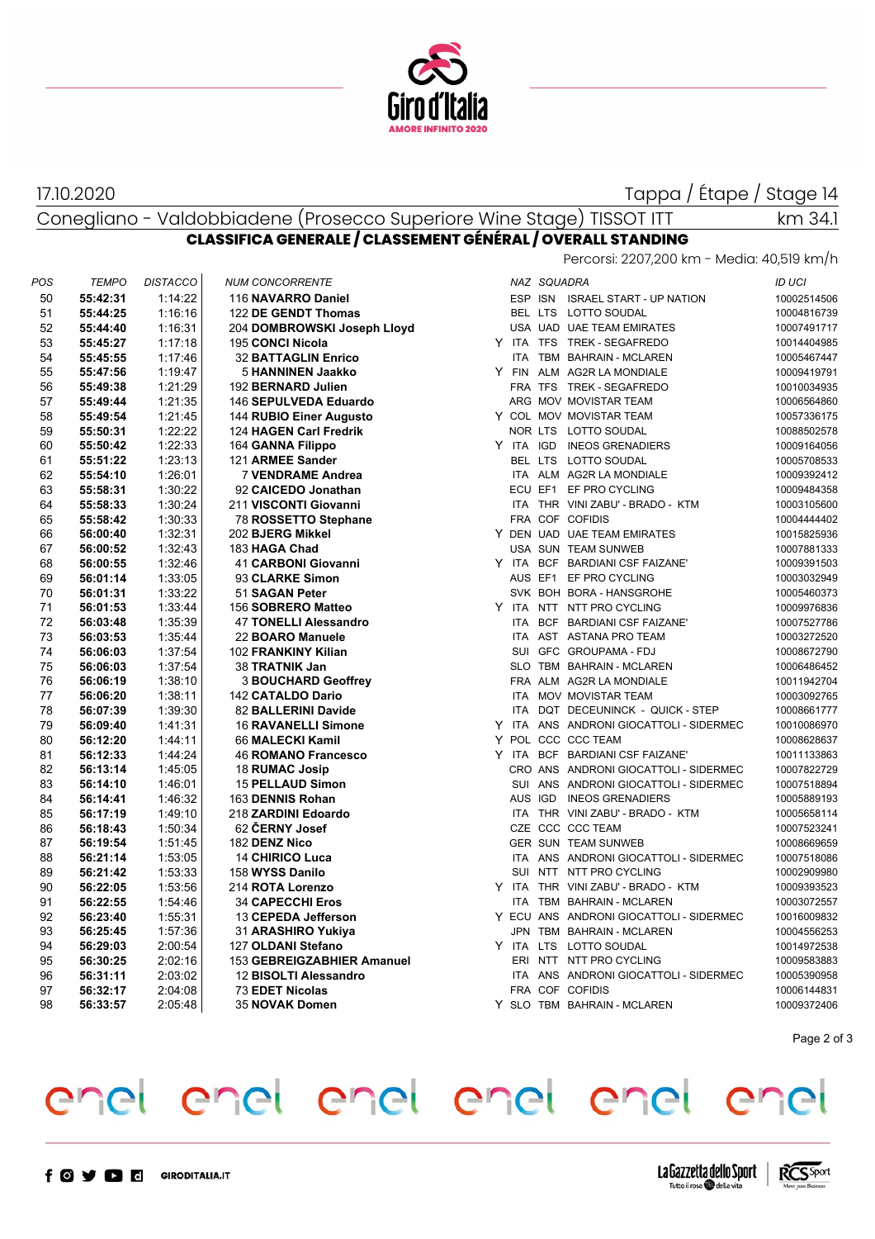

17.10.2020

Tappa / Étape / Stage 14

km 34.1

## Conegliano - Valdobbiadene (Prosecco Superiore Wine Stage) TISSOT ITT **CLASSIFICA GENERALE / CLASSEMENT GÉNÉRAL / OVERALL STANDING**

Percorsi: 2207,200 km - Media: 40,519 km/h

| POS | <b>TEMPO</b> | <b>DISTACCO</b> | <b>NUM CONCORRENTE</b>      |  | NAZ SQUADRA                             | <b>ID UCI</b> |
|-----|--------------|-----------------|-----------------------------|--|-----------------------------------------|---------------|
| 50  | 55:42:31     | 1:14:22         | 116 NAVARRO Daniel          |  | ESP ISN ISRAEL START - UP NATION        | 10002514506   |
| 51  | 55:44:25     | 1:16:16         | 122 DE GENDT Thomas         |  | BEL LTS LOTTO SOUDAL                    | 10004816739   |
| 52  | 55:44:40     | 1:16:31         | 204 DOMBROWSKI Joseph Lloyd |  | USA UAD UAE TEAM EMIRATES               | 10007491717   |
| 53  | 55:45:27     | 1:17:18         | 195 CONCI Nicola            |  | Y ITA TFS TREK-SEGAFREDO                | 10014404985   |
| 54  | 55:45:55     | 1:17:46         | <b>32 BATTAGLIN Enrico</b>  |  | ITA TBM BAHRAIN - MCLAREN               | 10005467447   |
| 55  | 55:47:56     | 1:19:47         | 5 HANNINEN Jaakko           |  | Y FIN ALM AG2R LA MONDIALE              | 10009419791   |
| 56  | 55:49:38     | 1:21:29         | 192 BERNARD Julien          |  | FRA TFS TREK - SEGAFREDO                | 10010034935   |
| 57  | 55:49:44     | 1:21:35         | 146 SEPULVEDA Eduardo       |  | ARG MOV MOVISTAR TEAM                   | 10006564860   |
| 58  | 55:49:54     | 1:21:45         | 144 RUBIO Einer Augusto     |  | Y COL MOV MOVISTAR TEAM                 | 10057336175   |
| 59  | 55:50:31     | 1:22:22         | 124 HAGEN Carl Fredrik      |  | NOR LTS LOTTO SOUDAL                    | 10088502578   |
| 60  | 55:50:42     | 1.22.33         | 164 GANNA Filippo           |  | Y ITA IGD INEOS GRENADIERS              | 10009164056   |
| 61  | 55:51:22     | 1:23:13         | 121 ARMEE Sander            |  | BEL LTS LOTTO SOUDAL                    | 10005708533   |
| 62  | 55:54:10     | 1:26:01         | 7 VENDRAME Andrea           |  | ITA ALM AG2R LA MONDIALE                | 10009392412   |
| 63  | 55:58:31     | 1:30:22         | 92 CAICEDO Jonathan         |  | ECU EF1 EF PRO CYCLING                  | 10009484358   |
| 64  | 55:58:33     | 1:30:24         | 211 VISCONTI Giovanni       |  | ITA THR VINI ZABU' - BRADO - KTM        | 10003105600   |
| 65  | 55:58:42     | 1:30:33         | 78 ROSSETTO Stephane        |  | FRA COF COFIDIS                         | 10004444402   |
| 66  | 56:00:40     | 1:32:31         | 202 BJERG Mikkel            |  | Y DEN UAD UAE TEAM EMIRATES             | 10015825936   |
| 67  | 56:00:52     | 1:32:43         | 183 HAGA Chad               |  | USA SUN TEAM SUNWEB                     | 10007881333   |
| 68  | 56:00:55     | 1:32:46         | 41 CARBONI Giovanni         |  | Y ITA BCF BARDIANI CSF FAIZANE'         | 10009391503   |
| 69  | 56:01:14     | 1:33:05         | 93 CLARKE Simon             |  | AUS EF1 EF PRO CYCLING                  | 10003032949   |
| 70  | 56:01:31     | 1:33:22         | 51 SAGAN Peter              |  | SVK BOH BORA - HANSGROHE                | 10005460373   |
| 71  | 56:01:53     | 1:33:44         | 156 SOBRERO Matteo          |  | Y ITA NTT NTT PRO CYCLING               | 10009976836   |
| 72  | 56:03:48     | 1:35:39         | 47 TONELLI Alessandro       |  | ITA BCF BARDIANI CSF FAIZANE'           | 10007527786   |
| 73  | 56:03:53     | 1:35:44         | 22 BOARO Manuele            |  | ITA AST ASTANA PRO TEAM                 | 10003272520   |
| 74  | 56:06:03     | 1:37:54         | 102 FRANKINY Kilian         |  | SUI GFC GROUPAMA - FDJ                  | 10008672790   |
| 75  | 56:06:03     | 1:37:54         | 38 TRATNIK Jan              |  | SLO TBM BAHRAIN - MCLAREN               | 10006486452   |
| 76  | 56:06:19     | 1:38:10         | <b>3 BOUCHARD Geoffrey</b>  |  | FRA ALM AG2R LA MONDIALE                | 10011942704   |
| 77  | 56:06:20     | 1:38:11         | 142 CATALDO Dario           |  | ITA MOV MOVISTAR TEAM                   | 10003092765   |
| 78  | 56:07:39     | 1:39:30         | 82 BALLERINI Davide         |  | ITA DQT DECEUNINCK - QUICK - STEP       | 10008661777   |
| 79  | 56:09:40     | 1:41:31         | <b>16 RAVANELLI Simone</b>  |  | Y ITA ANS ANDRONI GIOCATTOLI - SIDERMEC | 10010086970   |
| 80  | 56:12:20     | 1:44:11         | 66 MALECKI Kamil            |  | Y POL CCC CCC TEAM                      | 10008628637   |
| 81  | 56:12:33     | 1:44:24         | <b>46 ROMANO Francesco</b>  |  | Y ITA BCF BARDIANI CSF FAIZANE'         | 10011133863   |
| 82  | 56:13:14     | 1:45:05         | 18 RUMAC Josip              |  | CRO ANS ANDRONI GIOCATTOLI - SIDERMEC   | 10007822729   |
| 83  | 56:14:10     | 1:46:01         | <b>15 PELLAUD Simon</b>     |  | SUI ANS ANDRONI GIOCATTOLI - SIDERMEC   | 10007518894   |
| 84  | 56:14:41     | 1:46:32         | 163 DENNIS Rohan            |  | AUS IGD INEOS GRENADIERS                | 10005889193   |
| 85  | 56:17:19     | 1:49:10         | 218 ZARDINI Edoardo         |  | ITA THR VINI ZABU' - BRADO - KTM        | 10005658114   |
| 86  | 56:18:43     | 1:50:34         | 62 ČERNY Josef              |  | CZE CCC CCC TEAM                        | 10007523241   |
| 87  | 56:19:54     | 1:51:45         | 182 DENZ Nico               |  | GER SUN TEAM SUNWEB                     | 10008669659   |
| 88  | 56:21:14     | 1:53:05         | 14 CHIRICO Luca             |  | ITA ANS ANDRONI GIOCATTOLI - SIDERMEC   | 10007518086   |
| 89  | 56:21:42     | 1:53:33         | 158 WYSS Danilo             |  | SUI NTT NTT PRO CYCLING                 | 10002909980   |
| 90  | 56:22:05     | 1:53:56         | 214 ROTA Lorenzo            |  | Y ITA THR VINI ZABU' - BRADO - KTM      | 10009393523   |
| 91  | 56:22:55     | 1:54:46         | <b>34 CAPECCHI Eros</b>     |  | ITA TBM BAHRAIN - MCLAREN               | 10003072557   |
| 92  | 56:23:40     | 1:55:31         | 13 CEPEDA Jefferson         |  | Y ECU ANS ANDRONI GIOCATTOLI - SIDERMEC | 10016009832   |
| 93  | 56:25:45     | 1:57:36         | 31 ARASHIRO Yukiya          |  | JPN TBM BAHRAIN - MCLAREN               | 10004556253   |
| 94  | 56:29:03     | 2:00:54         | 127 OLDANI Stefano          |  | Y ITA LTS LOTTO SOUDAL                  | 10014972538   |
| 95  | 56:30:25     | 2:02:16         | 153 GEBREIGZABHIER Amanuel  |  | ERI NTT NTT PRO CYCLING                 | 10009583883   |
| 96  | 56:31:11     | 2:03:02         | 12 BISOLTI Alessandro       |  | ITA ANS ANDRONI GIOCATTOLI - SIDERMEC   | 10005390958   |
| 97  | 56:32:17     | 2:04:08         | 73 EDET Nicolas             |  | FRA COF COFIDIS                         | 10006144831   |
| 98  | 56:33:57     | 2:05:48         | 35 NOVAK Domen              |  | Y SLO TBM BAHRAIN - MCLAREN             | 10009372406   |
|     |              |                 |                             |  |                                         |               |

Page 2 of 3

## enel enel enel enel enel enel